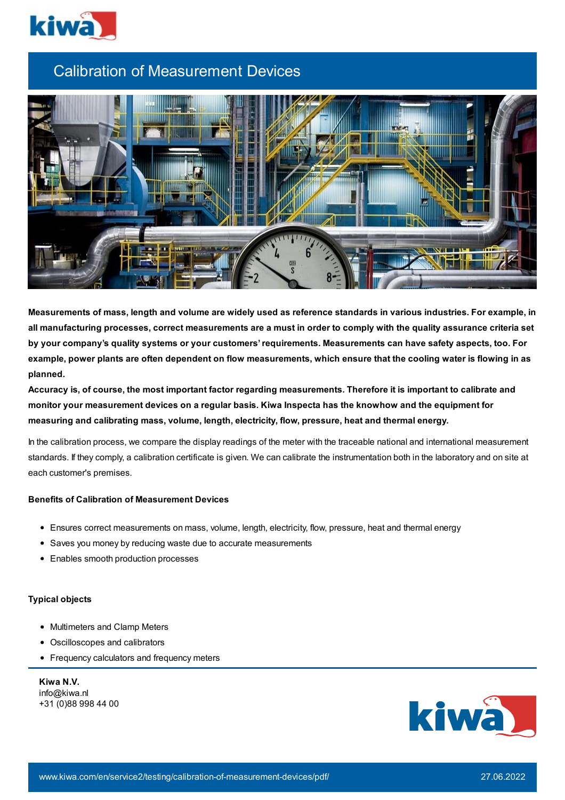

## Calibration of Measurement Devices



Measurements of mass, length and volume are widely used as reference standards in various industries. For example, in all manufacturing processes, correct measurements are a must in order to comply with the quality assurance criteria set **by your company's quality systems or your customers'requirements. Measurements can have safety aspects, too. For** example, power plants are often dependent on flow measurements, which ensure that the cooling water is flowing in as **planned.**

Accuracy is, of course, the most important factor regarding measurements. Therefore it is important to calibrate and **monitor your measurement devices on a regular basis. Kiwa Inspecta has the knowhow and the equipment for measuring and calibrating mass, volume, length, electricity, flow, pressure, heat and thermal energy.**

In the calibration process, we compare the display readings of the meter with the traceable national and international measurement standards. If they comply, a calibration certificate is given. We can calibrate the instrumentation both in the laboratory and on site at each customer's premises.

## **Benefits of Calibration of Measurement Devices**

- Ensures correct measurements on mass, volume, length, electricity, flow, pressure, heat and thermal energy
- Saves you money by reducing waste due to accurate measurements
- Enables smooth production processes

## **Typical objects**

- Multimeters and Clamp Meters
- Oscilloscopes and calibrators
- Frequency calculators and frequency meters

**Kiwa N.V.** info@kiwa.nl +31 (0)88 998 44 00